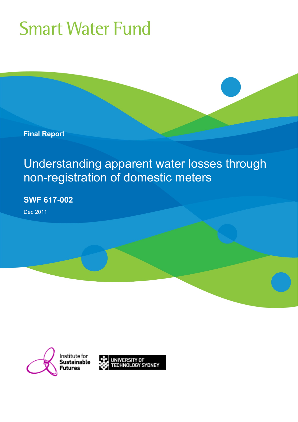**Final Report** 

Understanding apparent water losses through non-registration of domestic meters

**SWF 617-002** 

Dec 2011



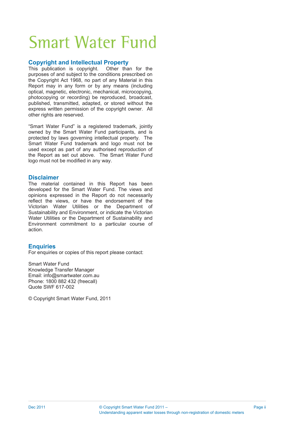#### **Copyright and Intellectual Property**

This publication is copyright. Other than for the purposes of and subject to the conditions prescribed on the Copyright Act 1968, no part of any Material in this Report may in any form or by any means (including optical, magnetic, electronic, mechanical, microcopying, photocopying or recording) be reproduced, broadcast, published, transmitted, adapted, or stored without the express written permission of the copyright owner. All other rights are reserved.

"Smart Water Fund" is a registered trademark, jointly owned by the Smart Water Fund participants, and is protected by laws governing intellectual property. The Smart Water Fund trademark and logo must not be used except as part of any authorised reproduction of the Report as set out above. The Smart Water Fund logo must not be modified in any way.

#### **Disclaimer**

The material contained in this Report has been developed for the Smart Water Fund. The views and opinions expressed in the Report do not necessarily reflect the views, or have the endorsement of the Victorian Water Utilities or the Department of Sustainability and Environment, or indicate the Victorian Water Utilities or the Department of Sustainability and Environment commitment to a particular course of action.

#### **Enquiries**

For enquiries or copies of this report please contact:

Smart Water Fund Knowledge Transfer Manager Email: info@smartwater.com.au Phone: 1800 882 432 (freecall) Quote SWF 617-002

© Copyright Smart Water Fund, 2011

Page ii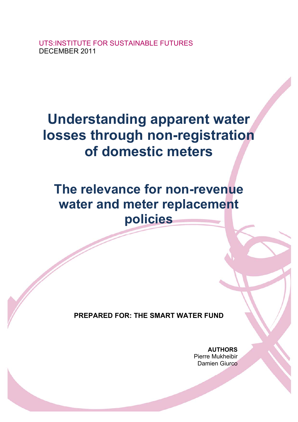UTS:INSTITUTE FOR SUSTAINABLE FUTURES DECEMBER 2011

## **Understanding apparent water losses through non-registration of domestic meters**

**The relevance for non-revenue water and meter replacement policies** 

**PREPARED FOR: THE SMART WATER FUND** 

**AUTHORS**  Pierre Mukheibir Damien Giurco

Understanding apparent water losses through non-registration of domestic meters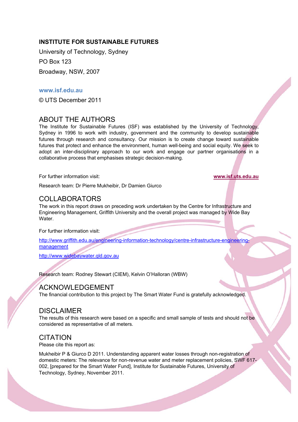#### **INSTITUTE FOR SUSTAINABLE FUTURES**

University of Technology, Sydney PO Box 123

Broadway, NSW, 2007

#### **www.isf.edu.au**

© UTS December 2011

### ABOUT THE AUTHORS

The Institute for Sustainable Futures (ISF) was established by the University of Technology, Sydney in 1996 to work with industry, government and the community to develop sustainable futures through research and consultancy. Our mission is to create change toward sustainable futures that protect and enhance the environment, human well-being and social equity. We seek to adopt an inter-disciplinary approach to our work and engage our partner organisations in a collaborative process that emphasises strategic decision-making.

For further information visit: **www.isf.uts.edu.au**

Research team: Dr Pierre Mukheibir, Dr Damien Giurco

### COLLABORATORS

The work in this report draws on preceding work undertaken by the Centre for Infrastructure and Engineering Management, Griffith University and the overall project was managed by Wide Bay Water.

For further information visit:

http://www.griffith.edu.au/engineering-information-technology/centre-infrastructure-engineeringmanagement

http://www.widebaywater.qld.gov.au

Research team: Rodney Stewart (CIEM), Kelvin O'Halloran (WBW)

#### ACKNOWLEDGEMENT

The financial contribution to this project by The Smart Water Fund is gratefully acknowledged.

#### DISCLAIMER

The results of this research were based on a specific and small sample of tests and should not be considered as representative of all meters.

#### **CITATION**

Please cite this report as:

Mukheibir P & Giurco D 2011. Understanding apparent water losses through non-registration of domestic meters: The relevance for non-revenue water and meter replacement policies, SWF 617- 002, [prepared for the Smart Water Fund], Institute for Sustainable Futures, University of Technology, Sydney, November 2011.

Understanding apparent water losses through non-registration of domestic meters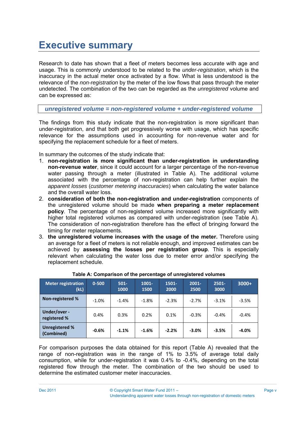## **Executive summary**

Research to date has shown that a fleet of meters becomes less accurate with age and usage. This is commonly understood to be related to the *under-registration*, which is the inaccuracy in the actual meter once activated by a flow. What is less understood is the relevance of the *non-registration* by the meter of the low flows that pass through the meter undetected. The combination of the two can be regarded as the *unregistered* volume and can be expressed as:

*unregistered volume = non-registered volume + under-registered volume* 

The findings from this study indicate that the non-registration is more significant than under-registration, and that both get progressively worse with usage, which has specific relevance for the assumptions used in accounting for non-revenue water and for specifying the replacement schedule for a fleet of meters.

In summary the outcomes of the study indicate that:

- 1. **non-registration is more significant than under-registration in understanding non-revenue water**, since it could account for a larger percentage of the non-revenue water passing through a meter (illustrated in Table A). The additional volume associated with the percentage of non-registration can help further explain the *apparent losses* (*customer metering inaccuracies*) when calculating the water balance and the overall water loss.
- 2. **consideration of both the non-registration and under-registration** components of the unregistered volume should be made **when preparing a meter replacement policy**. The percentage of non-registered volume increased more significantly with higher total registered volumes as compared with under-registration (see Table A). The consideration of non-registration therefore has the effect of bringing forward the timing for meter replacements.
- 3. **the unregistered volume increases with the usage of the meter.** Therefore using an average for a fleet of meters is not reliable enough, and improved estimates can be achieved by **assessing the losses per registration group**. This is especially relevant when calculating the water loss due to meter error and/or specifying the replacement schedule.

| <b>Meter registration</b><br>(kL)   | $0 - 500$ | $501 -$<br>1000 | $1001 -$<br>1500 | $1501 -$<br>2000 | $2001 -$<br>2500 | $2501 -$<br>3000 | $3000+$ |
|-------------------------------------|-----------|-----------------|------------------|------------------|------------------|------------------|---------|
| Non-registered %                    | $-1.0%$   | $-1.4%$         | $-1.8%$          | $-2.3%$          | $-2.7%$          | $-3.1%$          | $-3.5%$ |
| Under/over -<br>registered %        | 0.4%      | 0.3%            | 0.2%             | 0.1%             | $-0.3%$          | $-0.4%$          | $-0.4%$ |
| <b>Unregistered %</b><br>(Combined) | $-0.6%$   | $-1.1%$         | $-1.6%$          | $-2.2%$          | $-3.0%$          | $-3.5%$          | $-4.0%$ |

#### **Table A: Comparison of the percentage of unregistered volumes**

For comparison purposes the data obtained for this report (Table A) revealed that the range of non-registration was in the range of 1% to 3.5% of average total daily consumption, while for under-registration it was 0.4% to -0.4%, depending on the total registered flow through the meter. The combination of the two should be used to determine the estimated customer meter inaccuracies.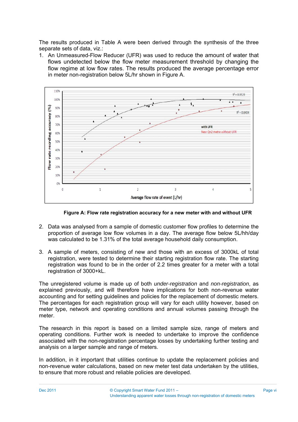The results produced in Table A were been derived through the synthesis of the three separate sets of data, viz.:

1. An Unmeasured-Flow Reducer (UFR) was used to reduce the amount of water that flows undetected below the flow meter measurement threshold by changing the flow regime at low flow rates. The results produced the average percentage error in meter non-registration below 5L/hr shown in Figure A.



**Figure A: Flow rate registration accuracy for a new meter with and without UFR** 

- 2. Data was analysed from a sample of domestic customer flow profiles to determine the proportion of average low flow volumes in a day. The average flow below 5L/hh/day was calculated to be 1.31% of the total average household daily consumption.
- 3. A sample of meters, consisting of new and those with an excess of 3000kL of total registration, were tested to determine their starting registration flow rate. The starting registration was found to be in the order of 2.2 times greater for a meter with a total registration of 3000+kL.

The unregistered volume is made up of both *under-registration* and *non-registration*, as explained previously, and will therefore have implications for both non-revenue water accounting and for setting guidelines and policies for the replacement of domestic meters. The percentages for each registration group will vary for each utility however, based on meter type, network and operating conditions and annual volumes passing through the meter.

The research in this report is based on a limited sample size, range of meters and operating conditions. Further work is needed to undertake to improve the confidence associated with the non-registration percentage losses by undertaking further testing and analysis on a larger sample and range of meters.

In addition, in it important that utilities continue to update the replacement policies and non-revenue water calculations, based on new meter test data undertaken by the utilities, to ensure that more robust and reliable policies are developed.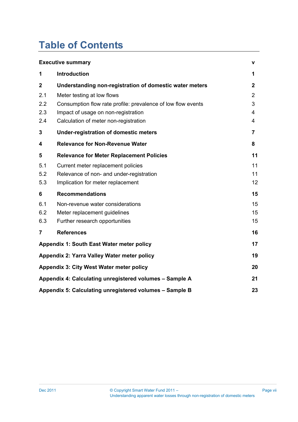## **Table of Contents**

|                | <b>Executive summary</b>                                      | v              |  |  |  |  |
|----------------|---------------------------------------------------------------|----------------|--|--|--|--|
| 1              | <b>Introduction</b>                                           | 1              |  |  |  |  |
| $\mathbf{2}$   | Understanding non-registration of domestic water meters       | $\mathbf{2}$   |  |  |  |  |
| 2.1            | Meter testing at low flows                                    | $\overline{2}$ |  |  |  |  |
| 2.2            | Consumption flow rate profile: prevalence of low flow events  | 3              |  |  |  |  |
| 2.3            | Impact of usage on non-registration                           | 4              |  |  |  |  |
| 2.4            | Calculation of meter non-registration                         | 4              |  |  |  |  |
| 3              | <b>Under-registration of domestic meters</b>                  | 7              |  |  |  |  |
| 4              | <b>Relevance for Non-Revenue Water</b>                        | 8              |  |  |  |  |
| 5              | <b>Relevance for Meter Replacement Policies</b>               | 11             |  |  |  |  |
| 5.1            | Current meter replacement policies                            | 11             |  |  |  |  |
| 5.2            | Relevance of non- and under-registration                      | 11             |  |  |  |  |
| 5.3            | Implication for meter replacement                             | 12             |  |  |  |  |
| 6              | <b>Recommendations</b>                                        | 15             |  |  |  |  |
| 6.1            | Non-revenue water considerations                              | 15             |  |  |  |  |
| 6.2            | Meter replacement guidelines                                  | 15             |  |  |  |  |
| 6.3            | Further research opportunities                                | 15             |  |  |  |  |
| $\overline{7}$ | <b>References</b>                                             | 16             |  |  |  |  |
|                | Appendix 1: South East Water meter policy                     | 17             |  |  |  |  |
|                | Appendix 2: Yarra Valley Water meter policy                   | 19             |  |  |  |  |
|                | Appendix 3: City West Water meter policy                      | 20             |  |  |  |  |
|                | Appendix 4: Calculating unregistered volumes - Sample A       | 21             |  |  |  |  |
|                | Appendix 5: Calculating unregistered volumes - Sample B<br>23 |                |  |  |  |  |

Page vii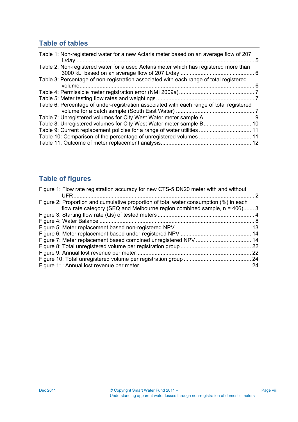### **Table of tables**

| Table 1: Non-registered water for a new Actaris meter based on an average flow of 207    |  |
|------------------------------------------------------------------------------------------|--|
| Table 2: Non-registered water for a used Actaris meter which has registered more than    |  |
| Table 3: Percentage of non-registration associated with each range of total registered   |  |
|                                                                                          |  |
|                                                                                          |  |
| Table 6: Percentage of under-registration associated with each range of total registered |  |
|                                                                                          |  |
|                                                                                          |  |
|                                                                                          |  |
|                                                                                          |  |
|                                                                                          |  |

### **Table of figures**

| Figure 1: Flow rate registration accuracy for new CTS-5 DN20 meter with and without                                                                                  |      |
|----------------------------------------------------------------------------------------------------------------------------------------------------------------------|------|
| Figure 2: Proportion and cumulative proportion of total water consumption (%) in each<br>flow rate category (SEQ and Melbourne region combined sample, $n = 406$ ) 3 |      |
|                                                                                                                                                                      |      |
|                                                                                                                                                                      |      |
|                                                                                                                                                                      |      |
|                                                                                                                                                                      |      |
|                                                                                                                                                                      |      |
|                                                                                                                                                                      |      |
|                                                                                                                                                                      | . 22 |
|                                                                                                                                                                      |      |
|                                                                                                                                                                      |      |
|                                                                                                                                                                      |      |

Page viii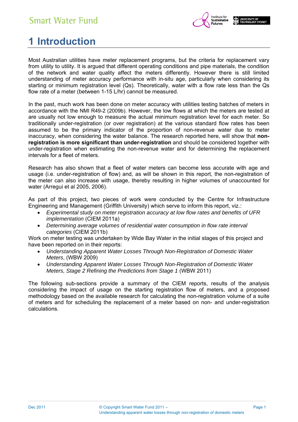

## **1 Introduction**

Most Australian utilities have meter replacement programs, but the criteria for replacement vary from utility to utility. It is argued that different operating conditions and pipe materials, the condition of the network and water quality affect the meters differently. However there is still limited understanding of meter accuracy performance with in-situ age, particularly when considering its starting or minimum registration level (Qs). Theoretically, water with a flow rate less than the Qs flow rate of a meter (between 1-15 L/hr) cannot be measured.

In the past, much work has been done on meter accuracy with utilities testing batches of meters in accordance with the NMI R49-2 (2009b). However, the low flows at which the meters are tested at are usually not low enough to measure the actual minimum registration level for each meter. So traditionally under-registration (or over registration) at the various standard flow rates has been assumed to be the primary indicator of the proportion of non-revenue water due to meter inaccuracy, when considering the water balance. The research reported here, will show that **nonregistration is more significant than under-registration** and should be considered together with under-registration when estimating the non-revenue water and for determining the replacement intervals for a fleet of meters.

Research has also shown that a fleet of water meters can become less accurate with age and usage (i.e. under-registration of flow) and, as will be shown in this report, the non-registration of the meter can also increase with usage, thereby resulting in higher volumes of unaccounted for water (Arregui et al 2005, 2006).

As part of this project, two pieces of work were conducted by the Centre for Infrastructure Engineering and Management (Griffith University) which serve to inform this report, viz.:

- *Experimental study on meter registration accuracy at low flow rates and benefits of UFR implementation* (CIEM 2011a)
- *Determining average volumes of residential water consumption in flow rate interval categories* (CIEM 2011b)

Work on meter testing was undertaken by Wide Bay Water in the initial stages of this project and have been reported on in their reports:

- *Understanding Apparent Water Losses Through Non-Registration of Domestic Water Meters*, (WBW 2009)
- *Understanding Apparent Water Losses Through Non-Registration of Domestic Water Meters, Stage 2 Refining the Predictions from Stage 1* (WBW 2011)

The following sub-sections provide a summary of the CIEM reports, results of the analysis considering the impact of usage on the starting registration flow of meters, and a proposed methodology based on the available research for calculating the non-registration volume of a suite of meters and for scheduling the replacement of a meter based on non- and under-registration calculations.

Page 1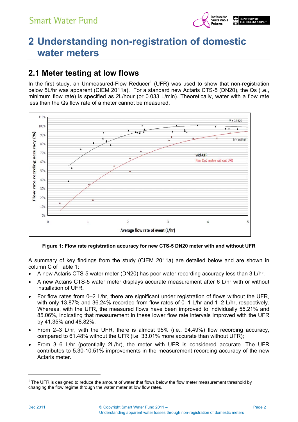

## **2 Understanding non-registration of domestic water meters**

### **2.1 Meter testing at low flows**

In the first study, an Unmeasured-Flow Reducer<sup>1</sup> (UFR) was used to show that non-registration below 5L/hr was apparent (CIEM 2011a). For a standard new Actaris CTS-5 (DN20), the Qs (i.e., minimum flow rate) is specified as 2L/hour (or 0.033 L/min). Theoretically, water with a flow rate less than the Qs flow rate of a meter cannot be measured.



**Figure 1: Flow rate registration accuracy for new CTS-5 DN20 meter with and without UFR** 

A summary of key findings from the study (CIEM 2011a) are detailed below and are shown in column C of Table 1:

- A new Actaris CTS-5 water meter (DN20) has poor water recording accuracy less than 3 L/hr.
- A new Actaris CTS-5 water meter displays accurate measurement after 6 L/hr with or without installation of UFR.
- For flow rates from 0–2 L/hr, there are significant under registration of flows without the UFR, with only 13.87% and 36.24% recorded from flow rates of 0–1 L/hr and 1–2 L/hr, respectively. Whereas, with the UFR, the measured flows have been improved to individually 55.21% and 85.06%, indicating that measurement in these lower flow rate intervals improved with the UFR by 41.35% and 48.82%.
- From 2–3 L/hr, with the UFR, there is almost 95% (i.e., 94.49%) flow recording accuracy, compared to 61.48% without the UFR (i.e. 33.01% more accurate than without UFR);
- From 3–6 L/hr (potentially 2L/hr), the meter with UFR is considered accurate. The UFR contributes to 5.30-10.51% improvements in the measurement recording accuracy of the new Actaris meter.

l

Page 2

 $<sup>1</sup>$  The UFR is designed to reduce the amount of water that flows below the flow meter measurement threshold by</sup> changing the flow regime through the water meter at low flow rates.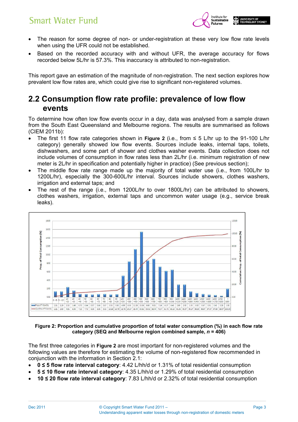

- The reason for some degree of non- or under-registration at these very low flow rate levels when using the UFR could not be established.
- Based on the recorded accuracy with and without UFR, the average accuracy for flows recorded below 5L/hr is 57.3%. This inaccuracy is attributed to non-registration.

This report gave an estimation of the magnitude of non-registration. The next section explores how prevalent low flow rates are, which could give rise to significant non-registered volumes.

### **2.2 Consumption flow rate profile: prevalence of low flow events**

To determine how often low flow events occur in a day, data was analysed from a sample drawn from the South East Queensland and Melbourne regions. The results are summarised as follows (CIEM 2011b):

- The first 11 flow rate categories shown in **Figure 2** (i.e., from ≤ 5 L/hr up to the 91-100 L/hr category) generally showed low flow events. Sources include leaks, internal taps, toilets, dishwashers, and some part of shower and clothes washer events. Data collection does not include volumes of consumption in flow rates less than 2L/hr (i.e. minimum registration of new meter is 2L/hr in specification and potentially higher in practice) (See previous section);
- The middle flow rate range made up the majority of total water use (i.e., from 100L/hr to 1200L/hr), especially the 300-600L/hr interval. Sources include showers, clothes washers, irrigation and external taps; and
- The rest of the range (i.e., from 1200L/hr to over 1800L/hr) can be attributed to showers, clothes washers, irrigation, external taps and uncommon water usage (e.g., service break leaks).



**Figure 2: Proportion and cumulative proportion of total water consumption (%) in each flow rate category (SEQ and Melbourne region combined sample,** *n* **= 406)** 

The first three categories in **Figure 2** are most important for non-registered volumes and the following values are therefore for estimating the volume of non-registered flow recommended in conjunction with the information in Section 2.1:

- **0 ≤ 5 flow rate interval category**: 4.42 L/hh/d or 1.31% of total residential consumption
- **5 ≤ 10 flow rate interval category**: 4.35 L/hh/d or 1.29% of total residential consumption
- **10 ≤ 20 flow rate interval category**: 7.83 L/hh/d or 2.32% of total residential consumption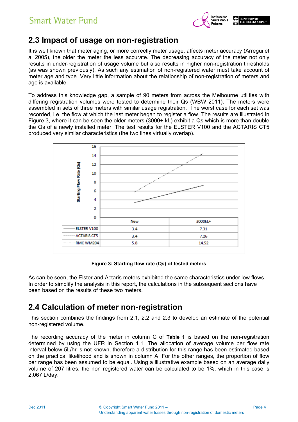

### **2.3 Impact of usage on non-registration**

It is well known that meter aging, or more correctly meter usage, affects meter accuracy (Arregui et al 2005), the older the meter the less accurate. The decreasing accuracy of the meter not only results in under-registration of usage volume but also results in higher non-registration thresholds (as was shown previously). As such any estimation of non-registered water must take account of meter age and type. Very little information about the relationship of non-registration of meters and age is available.

To address this knowledge gap, a sample of 90 meters from across the Melbourne utilities with differing registration volumes were tested to determine their Qs (WBW 2011). The meters were assembled in sets of three meters with similar usage registration. The worst case for each set was recorded, i.e. the flow at which the last meter began to register a flow. The results are illustrated in Figure 3, where it can be seen the older meters (3000+ kL) exhibit a Qs which is more than double the Qs of a newly installed meter. The test results for the ELSTER V100 and the ACTARIS CT5 produced very similar characteristics (the two lines virtually overlap).



**Figure 3: Starting flow rate (Qs) of tested meters** 

As can be seen, the Elster and Actaris meters exhibited the same characteristics under low flows. In order to simplify the analysis in this report, the calculations in the subsequent sections have been based on the results of these two meters.

### **2.4 Calculation of meter non-registration**

This section combines the findings from 2.1, 2.2 and 2.3 to develop an estimate of the potential non-registered volume.

The recording accuracy of the meter in column C of **Table 1** is based on the non-registration determined by using the UFR in Section 1.1. The allocation of average volume per flow rate interval below 5L/hr is not known, therefore a distribution for this range has been estimated based on the practical likelihood and is shown in column A. For the other ranges, the proportion of flow per range has been assumed to be equal. Using a illustrative example based on an average daily volume of 207 litres, the non registered water can be calculated to be 1%, which in this case is 2.067 L/day.

Page 4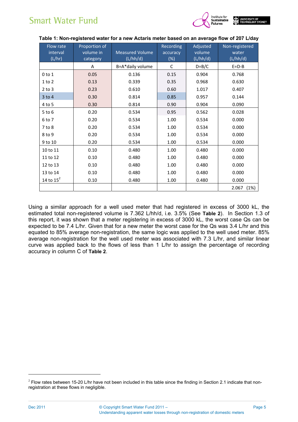

| Flow rate<br>interval<br>(L/hr) | Proportion of<br>volume in<br>category | <b>Measured Volume</b><br>(L/hh/d) | Recording<br>accuracy<br>$(\%)$ | Adjusted<br>volume<br>(L/hh/d) | Non-registered<br>water<br>(L/hh/d) |
|---------------------------------|----------------------------------------|------------------------------------|---------------------------------|--------------------------------|-------------------------------------|
|                                 | Α                                      | B=A*daily volume                   | C                               | $D=B/C$                        | $E=D-B$                             |
| $0$ to $1$                      | 0.05                                   | 0.136                              | 0.15                            | 0.904                          | 0.768                               |
| $1$ to $2$                      | 0.13                                   | 0.339                              | 0.35                            | 0.968                          | 0.630                               |
| $2$ to $3$                      | 0.23                                   | 0.610                              | 0.60                            | 1.017                          | 0.407                               |
| $3$ to $4$                      | 0.30                                   | 0.814                              | 0.85                            | 0.957                          | 0.144                               |
| 4 to 5                          | 0.30                                   | 0.814                              | 0.90                            | 0.904                          | 0.090                               |
| 5 to 6                          | 0.20                                   | 0.534                              | 0.95                            | 0.562                          | 0.028                               |
| 6 to 7                          | 0.20                                   | 0.534                              | 1.00                            | 0.534                          | 0.000                               |
| 7 to 8                          | 0.20                                   | 0.534                              | 1.00                            | 0.534                          | 0.000                               |
| 8 to 9                          | 0.20                                   | 0.534                              | 1.00                            | 0.534                          | 0.000                               |
| 9 to 10                         | 0.20                                   | 0.534                              | 1.00                            | 0.534                          | 0.000                               |
| 10 to 11                        | 0.10                                   | 0.480                              | 1.00                            | 0.480                          | 0.000                               |
| 11 to 12                        | 0.10                                   | 0.480                              | 1.00                            | 0.480                          | 0.000                               |
| 12 to 13                        | 0.10                                   | 0.480                              | 1.00                            | 0.480                          | 0.000                               |
| 13 to 14                        | 0.10                                   | 0.480                              | 1.00                            | 0.480                          | 0.000                               |
| 14 to $15^2$                    | 0.10                                   | 0.480                              | 1.00                            | 0.480                          | 0.000                               |
|                                 |                                        |                                    |                                 |                                | 2.067<br>(1%)                       |

#### **Table 1: Non-registered water for a new Actaris meter based on an average flow of 207 L/day**

Using a similar approach for a well used meter that had registered in excess of 3000 kL, the estimated total non-registered volume is 7.362 L/hh/d, i.e. 3.5% (See **Table 2**). In Section 1.3 of this report, it was shown that a meter registering in excess of 3000 kL, the worst case Qs can be expected to be 7.4 L/hr. Given that for a new meter the worst case for the Qs was 3.4 L/hr and this equated to 85% average non-registration, the same logic was applied to the well used meter. 85% average non-registration for the well used meter was associated with 7.3 L/hr, and similar linear curve was applied back to the flows of less than 1 L/hr to assign the percentage of recording accuracy in column C of **Table 2**.

l

 $2$  Flow rates between 15-20 L/hr have not been included in this table since the finding in Section 2.1 indicate that nonregistration at these flows in negligible.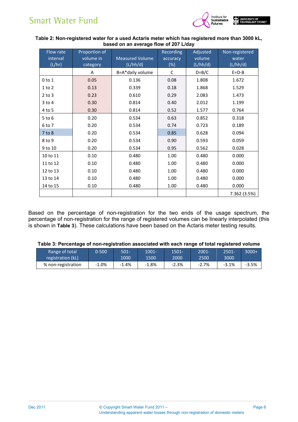

#### **Table 2: Non-registered water for a used Actaris meter which has registered more than 3000 kL, based on an average flow of 207 L/day**

| Flow rate<br>interval<br>(L/hr) | Proportion of<br>volume in<br>category | <b>Measured Volume</b><br>(L/hh/d) | <b>Recording</b><br>accuracy<br>$(\%)$ | Adjusted<br>volume<br>(L/hh/d) | Non-registered<br>water<br>(L/hh/d) |
|---------------------------------|----------------------------------------|------------------------------------|----------------------------------------|--------------------------------|-------------------------------------|
|                                 | A                                      | B=A*daily volume                   | C                                      | $D=B/C$                        | $E = D - B$                         |
| $0$ to $1$                      | 0.05                                   | 0.136                              | 0.08                                   | 1.808                          | 1.672                               |
| $1$ to $2$                      | 0.13                                   | 0.339                              | 0.18                                   | 1.868                          | 1.529                               |
| $2$ to $3$                      | 0.23                                   | 0.610                              | 0.29                                   | 2.083                          | 1.473                               |
| $3$ to $4$                      | 0.30                                   | 0.814                              | 0.40                                   | 2.012                          | 1.199                               |
| 4 to 5                          | 0.30                                   | 0.814                              | 0.52                                   | 1.577                          | 0.764                               |
| $5$ to $6$                      | 0.20                                   | 0.534                              | 0.63                                   | 0.852                          | 0.318                               |
| 6 to 7                          | 0.20                                   | 0.534                              | 0.74                                   | 0.723                          | 0.189                               |
| 7 to 8                          | 0.20                                   | 0.534                              | 0.85                                   | 0.628                          | 0.094                               |
| 8 to 9                          | 0.20                                   | 0.534                              | 0.90                                   | 0.593                          | 0.059                               |
| 9 to 10                         | 0.20                                   | 0.534                              | 0.95                                   | 0.562                          | 0.028                               |
| 10 to 11                        | 0.10                                   | 0.480                              | 1.00                                   | 0.480                          | 0.000                               |
| 11 to 12                        | 0.10                                   | 0.480                              | 1.00                                   | 0.480                          | 0.000                               |
| 12 to 13                        | 0.10                                   | 0.480                              | 1.00                                   | 0.480                          | 0.000                               |
| 13 to 14                        | 0.10                                   | 0.480                              | 1.00                                   | 0.480                          | 0.000                               |
| 14 to 15                        | 0.10                                   | 0.480                              | 1.00                                   | 0.480                          | 0.000                               |
|                                 |                                        |                                    |                                        |                                | 7.362 (3.5%)                        |

Based on the percentage of non-registration for the two ends of the usage spectrum, the percentage of non-registration for the range of registered volumes can be linearly interpolated (this is shown in **Table 3**). These calculations have been based on the Actaris meter testing results.

#### **Table 3: Percentage of non-registration associated with each range of total registered volume**

| Range of total     | 0-500   | $501 -$ | 1001-   | 1501-   | 2001-'  | 2501-   | 3000+ |
|--------------------|---------|---------|---------|---------|---------|---------|-------|
| registration (kL)  |         | 1000    | 1500    | 2000    | 2500    | 3000    |       |
| % non-registration | $-1.0%$ | $-1.4%$ | $-1.8%$ | $-2.3%$ | $-2.7%$ | $-3.1%$ | -3.5% |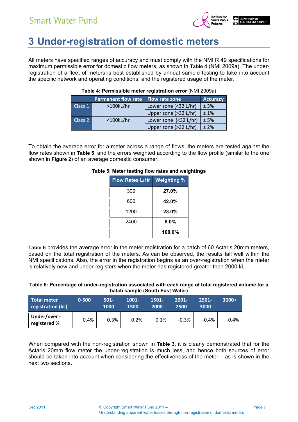

## **3 Under-registration of domestic meters**

All meters have specified ranges of accuracy and must comply with the NMI R 49 specifications for maximum permissible error for domestic flow meters, as shown in **Table 4** (NMI 2009a). The underregistration of a fleet of meters is best established by annual sample testing to take into account the specific network and operating conditions, and the registered usage of the meter.

|         | Permanent flow rate | <b>Flow rate zone</b> | <b>Accuracy</b> |
|---------|---------------------|-----------------------|-----------------|
| Class 1 | $>100$ kL/hr        | Lower zone (<32 L/hr) | ± 3%            |
|         |                     | Upper zone (>32 L/hr) | $±1\%$          |
| Class 2 | $<$ 100 $k$ L/hr    | Lower zone (<32 L/hr) | ±5%             |
|         |                     | Upper zone (>32 L/hr) | $±2\%$          |

#### **Table 4: Permissible meter registration error** (NMI 2009a)

To obtain the average error for a meter across a range of flows, the meters are tested against the flow rates shown in **Table 5**, and the errors weighted according to the flow profile (similar to the one shown in **Figure 2**) of an average domestic consumer.

| <b>Weighting %</b> | <b>Flow Rates L/Hr</b> |
|--------------------|------------------------|
| 27.0%              | 300                    |
| 42.0%              | 600                    |
| 23.0%              | 1200                   |
| 8.0%               | 2400                   |
| 100.0%             |                        |

#### **Table 5: Meter testing flow rates and weightings**

**Table 6** provides the average error in the meter registration for a batch of 60 Actaris 20mm meters, based on the total registration of the meters. As can be observed, the results fall well within the NMI specifications. Also, the error in the registration begins as an over-registration when the meter is relatively new and under-registers when the meter has registered greater than 2000 kL.

#### **Table 6: Percentage of under-registration associated with each range of total registered volume for a batch sample (South East Water)**

| <b>Total meter</b><br>registration (kL) | $0 - 500$ | $501 -$<br>1000 | 1001-<br>1500 | 1501-<br>2000 | $2001 -$<br>2500 | $2501 -$<br>3000 | $3000+$ |
|-----------------------------------------|-----------|-----------------|---------------|---------------|------------------|------------------|---------|
| Under/over -<br>registered %            | 0.4%      | 0.3%            | 0.2%          | 0.1%          | $-0.3%$          | $-0.4%$          | $-0.4%$ |

When compared with the non-registration shown in **Table 3**, it is clearly demonstrated that for the Actaris 20mm flow meter the under-registration is much less, and hence both sources of error should be taken into account when considering the effectiveness of the meter – as is shown in the next two sections.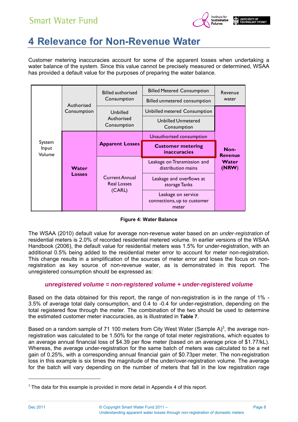

## **4 Relevance for Non-Revenue Water**

Customer metering inaccuracies account for some of the apparent losses when undertaking a water balance of the system. Since this value cannot be precisely measured or determined, WSAA has provided a default value for the purposes of preparing the water balance.

|                           |                        | <b>Billed authorised</b>                    | <b>Billed Metered Consumption</b>                          | Revenue                |
|---------------------------|------------------------|---------------------------------------------|------------------------------------------------------------|------------------------|
|                           | Authorised             | Consumption                                 | Billed unmetered consumption                               | water                  |
|                           | Consumption            | Unbilled                                    | Unbilled metered Consumption                               |                        |
|                           |                        | Authorised<br>Consumption                   | <b>Unbilled Unmetered</b><br>Consumption                   |                        |
| System<br>Input<br>Volume | Water<br><b>Losses</b> |                                             | Unauthorised consumption                                   |                        |
|                           |                        | <b>Apparent Losses</b>                      | <b>Customer metering</b><br><b>inaccuracies</b>            | Non-<br><b>Revenue</b> |
|                           |                        |                                             | Leakage on Transmission and<br>distribution mains          | Water<br>(NRW)         |
|                           |                        | <b>Current Annual</b><br><b>Real Losses</b> | Leakage and overflows at<br>storage Tanks                  |                        |
|                           |                        | (CARL)                                      | Leakage on service<br>connections, up to customer<br>meter |                        |

#### **Figure 4: Water Balance**

The WSAA (2010) default value for average non-revenue water based on an *under-registration* of residential meters is 2.0% of recorded residential metered volume. In earlier versions of the WSAA Handbook (2006), the default value for residential meters was 1.5% for under-registration, with an additional 0.5% being added to the residential meter error to account for meter non-registration. This change results in a simplification of the sources of meter error and loses the focus on nonregistration as key source of non-revenue water, as is demonstrated in this report. The unregistered consumption should be expressed as:

#### *unregistered volume = non-registered volume + under-registered volume*

Based on the data obtained for this report, the range of non-registration is in the range of 1% - 3.5% of average total daily consumption, and 0.4 to -0.4 for under-registration, depending on the total registered flow through the meter. The combination of the two should be used to determine the estimated customer meter inaccuracies, as is illustrated in **Table 7**.

Based on a random sample of 71 100 meters from City West Water (Sample A)<sup>3</sup>, the average nonregistration was calculated to be 1.50% for the range of total meter registrations, which equates to an average annual financial loss of \$4.39 per flow meter (based on an average price of \$1.77/kL). Whereas, the average under-registration for the same batch of meters was calculated to be a net gain of 0.25%, with a corresponding annual financial gain of \$0.73per meter. The non-registration loss in this example is six times the magnitude of the under/over-registration volume. The average for the batch will vary depending on the number of meters that fall in the low registration rage

l

 $3$  The data for this example is provided in more detail in Appendix 4 of this report.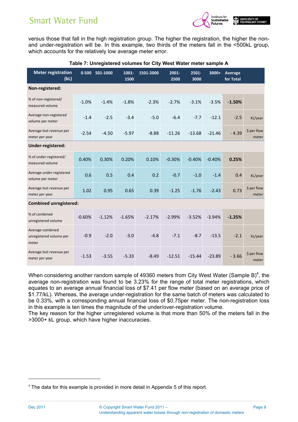

versus those that fall in the high registration group. The higher the registration, the higher the nonand under-registration will be. In this example, two thirds of the meters fall in the <500kL group, which accounts for the relatively low average meter error.

| <b>Meter registration</b><br>(kL)                    | $0 - 500$ | 501-1000 | 1001-<br>1500 | 1501-2000 | 2001-<br>2500 | 2501-<br>3000 | 3000+    | Average<br>for Total |                      |
|------------------------------------------------------|-----------|----------|---------------|-----------|---------------|---------------|----------|----------------------|----------------------|
| Non-registered:                                      |           |          |               |           |               |               |          |                      |                      |
| % of non-registered/<br>measured volume              | $-1.0%$   | $-1.4%$  | $-1.8%$       | $-2.3%$   | $-2.7%$       | $-3.1%$       | $-3.5%$  | $-1.50%$             |                      |
| Average non-registered<br>volume per meter           | $-1.4$    | $-2.5$   | $-3.4$        | $-5.0$    | $-6.4$        | $-7.7$        | $-12.1$  | $-2.5$               | KL/year              |
| Average lost revenue per<br>meter per year           | $-2.54$   | $-4.50$  | $-5.97$       | $-8.88$   | $-11.26$      | $-13.68$      | $-21.46$ | $-4.39$              | \$ per flow<br>meter |
| Under-registered:                                    |           |          |               |           |               |               |          |                      |                      |
| % of under-registered/<br>measured volume            | 0.40%     | 0.30%    | 0.20%         | 0.10%     | $-0.30%$      | $-0.40%$      | $-0.40%$ | 0.25%                |                      |
| Average under-registered<br>volume per meter         | 0.6       | 0.5      | 0.4           | 0.2       | $-0.7$        | $-1.0$        | $-1.4$   | 0.4                  | KL/year              |
| Average lost revenue per<br>meter per year           | 1.02      | 0.95     | 0.65          | 0.39      | $-1.25$       | $-1.76$       | $-2.43$  | 0.73                 | \$ per flow<br>meter |
| <b>Combined unregistered:</b>                        |           |          |               |           |               |               |          |                      |                      |
| % of combined<br>unregistered volume                 | $-0.60%$  | $-1.12%$ | $-1.65%$      | $-2.17%$  | $-2.99%$      | $-3.52%$      | $-3.94%$ | $-1.25%$             |                      |
| Average combined<br>unregistered volume per<br>meter | $-0.9$    | $-2.0$   | $-3.0$        | $-4.8$    | $-7.1$        | $-8.7$        | $-13.5$  | $-2.1$               | kL/year              |
| Average lost revenue per<br>meter per year           | $-1.53$   | $-3.55$  | $-5.33$       | $-8.49$   | $-12.51$      | $-15.44$      | $-23.89$ | $-3.66$              | \$ per flow<br>meter |

#### **Table 7: Unregistered volumes for City West Water meter sample A**

When considering another random sample of 49360 meters from City West Water (Sample B)<sup>4</sup>, the average non-registration was found to be 3.23% for the range of total meter registrations, which equates to an average annual financial loss of \$7.41 per flow meter (based on an average price of \$1.77/kL). Whereas, the average under-registration for the same batch of meters was calculated to be 0.33%, with a corresponding annual financial loss of \$0.75per meter. The non-registration loss in this example is ten times the magnitude of the under/over-registration volume.

The key reason for the higher unregistered volume is that more than 50% of the meters fall in the >3000+ kL group, which have higher inaccuracies.

l

 $4$  The data for this example is provided in more detail in Appendix 5 of this report.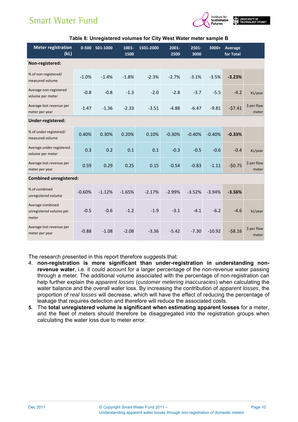

| <b>Meter registration</b><br>(kL)                    |          | 0-500 501-1000 | 1001-<br>1500 | 1501-2000 | $2001 -$<br>2500 | $2501 -$<br>3000 | $3000+$  | Average<br>for Total |                      |
|------------------------------------------------------|----------|----------------|---------------|-----------|------------------|------------------|----------|----------------------|----------------------|
| Non-registered:                                      |          |                |               |           |                  |                  |          |                      |                      |
| % of non-registered/<br>measured volume              | $-1.0%$  | $-1.4%$        | $-1.8%$       | $-2.3%$   | $-2.7%$          | $-3.1%$          | $-3.5%$  | $-3.23%$             |                      |
| Average non-registered<br>volume per meter           | $-0.8$   | $-0.8$         | $-1.3$        | $-2.0$    | $-2.8$           | $-3.7$           | $-5.5$   | $-4.2$               | KL/year              |
| Average lost revenue per<br>meter per year           | $-1.47$  | $-1.36$        | $-2.33$       | $-3.51$   | $-4.88$          | $-6.47$          | $-9.81$  | $-57.41$             | \$ per flow<br>meter |
| Under-registered:                                    |          |                |               |           |                  |                  |          |                      |                      |
| % of under-registered/<br>measured volume            | 0.40%    | 0.30%          | 0.20%         | 0.10%     | $-0.30%$         | $-0.40%$         | $-0.40%$ | $-0.33%$             |                      |
| Average under-registered<br>volume per meter         | 0.3      | 0.2            | 0.1           | 0.1       | $-0.3$           | $-0.5$           | $-0.6$   | $-0.4$               | KL/year              |
| Average lost revenue per<br>meter per year           | 0.59     | 0.29           | 0.25          | 0.15      | $-0.54$          | $-0.83$          | $-1.11$  | $-50.75$             | \$ per flow<br>meter |
| <b>Combined unregistered:</b>                        |          |                |               |           |                  |                  |          |                      |                      |
| % of combined<br>unregistered volume                 | $-0.60%$ | $-1.12%$       | $-1.65%$      | $-2.17%$  | $-2.99%$         | $-3.52%$         | $-3.94%$ | $-3.56%$             |                      |
| Average combined<br>unregistered volume per<br>meter | $-0.5$   | $-0.6$         | $-1.2$        | $-1.9$    | $-3.1$           | $-4.1$           | $-6.2$   | $-4.6$               | kL/year              |
| Average lost revenue per<br>meter per year           | $-0.88$  | $-1.08$        | $-2.08$       | $-3.36$   | $-5.42$          | $-7.30$          | $-10.92$ | $-58.16$             | \$ per flow<br>meter |

#### **Table 8: Unregistered volumes for City West Water meter sample B**

The research presented in this report therefore suggests that:

- 4. **non-registration is more significant than under-registration in understanding nonrevenue water**, i.e. it could account for a larger percentage of the non-revenue water passing through a meter. The additional volume associated with the percentage of non-registration can help further explain the *apparent losses* (*customer metering inaccuracies*) when calculating the water balance and the overall water loss. By increasing the contribution of *apparent losses*, the proportion of *real losses* will decrease, which will have the effect of reducing the percentage of leakage that requires detection and therefore will reduce the associated costs.
- **5.** The **total unregistered volume is significant when estimating apparent losses** for a meter, and the fleet of meters should therefore be disaggregated into the registration groups when calculating the water loss due to meter error.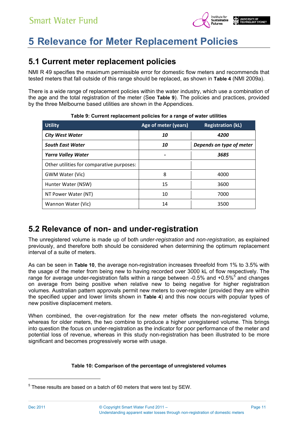

## **5 Relevance for Meter Replacement Policies**

### **5.1 Current meter replacement policies**

NMI R 49 specifies the maximum permissible error for domestic flow meters and recommends that tested meters that fall outside of this range should be replaced, as shown in **Table 4** (NMI 2009a).

There is a wide range of replacement policies within the water industry, which use a combination of the age and the total registration of the meter (See **Table 9**). The policies and practices, provided by the three Melbourne based utilities are shown in the Appendices.

| <b>Utility</b>                            | Age of meter (years) | <b>Registration (kL)</b> |
|-------------------------------------------|----------------------|--------------------------|
| <b>City West Water</b>                    | 10                   | <i><b>4200</b></i>       |
| <b>South East Water</b>                   | 10                   | Depends on type of meter |
| <b>Yarra Valley Water</b>                 |                      | 3685                     |
| Other utilities for comparative purposes: |                      |                          |
| GWM Water (Vic)                           | 8                    | 4000                     |
| Hunter Water (NSW)                        | 15                   | 3600                     |
| NT Power Water (NT)                       | 10                   | 7000                     |
| Wannon Water (Vic)                        | 14                   | 3500                     |

#### **Table 9: Current replacement policies for a range of water utilities**

### **5.2 Relevance of non- and under-registration**

The unregistered volume is made up of both *under-registration* and *non-registration*, as explained previously, and therefore both should be considered when determining the optimum replacement interval of a suite of meters.

As can be seen in **Table 10**, the average non-registration increases threefold from 1% to 3.5% with the usage of the meter from being new to having recorded over 3000 kL of flow respectively. The range for average under-registration falls within a range between -0.5% and +0.5%<sup>5</sup> and changes on average from being positive when relative new to being negative for higher registration volumes. Australian pattern approvals permit new meters to over-register (provided they are within the specified upper and lower limits shown in **Table 4**) and this now occurs with popular types of new positive displacement meters.

When combined, the over-registration for the new meter offsets the non-registered volume, whereas for older meters, the two combine to produce a higher unregistered volume. This brings into question the focus on under-registration as the indicator for poor performance of the meter and potential loss of revenue, whereas in this study non-registration has been illustrated to be more significant and becomes progressively worse with usage.

#### **Table 10: Comparison of the percentage of unregistered volumes**

l

 $5$  These results are based on a batch of 60 meters that were test by SEW.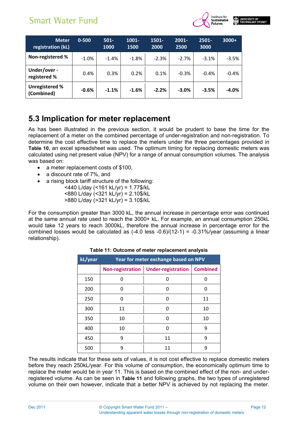

| <b>Meter</b><br>registration (kL)   | $0 - 500$ | $501 -$<br>1000 | 1001-<br>1500 | 1501-<br>2000 | $2001 -$<br>2500 | $2501 -$<br>3000 | $3000+$  |
|-------------------------------------|-----------|-----------------|---------------|---------------|------------------|------------------|----------|
| Non-registered %                    | $-1.0\%$  | $-1.4%$         | $-1.8%$       | $-2.3%$       | $-2.7%$          | $-3.1%$          | $-3.5%$  |
| Under/over -<br>registered %        | 0.4%      | 0.3%            | 0.2%          | 0.1%          | $-0.3%$          | $-0.4%$          | $-0.4\%$ |
| <b>Unregistered %</b><br>(Combined) | $-0.6%$   | $-1.1%$         | $-1.6%$       | $-2.2%$       | $-3.0%$          | $-3.5%$          | $-4.0%$  |

### **5.3 Implication for meter replacement**

As has been illustrated in the previous section, it would be prudent to base the time for the replacement of a meter on the combined percentage of under-registration and non-registration. To determine the cost effective time to replace the meters under the three percentages provided in **Table 10**, an excel spreadsheet was used. The optimum timing for replacing domestic meters was calculated using net present value (NPV) for a range of annual consumption volumes. The analysis was based on:

- a meter replacement costs of \$100.
- a discount rate of 7%, and
- a rising block tariff structure of the following:
	- <440 L/day (<161 kL/yr) = 1.77\$/kL <880 L/day (<321 kL/yr) = 2.10\$/kL >880 L/day (>321 kL/yr) = 3.10\$/kL

For the consumption greater than 3000 kL, the annual increase in percentage error was continued at the same annual rate used to reach the 3000+ kL. For example, an annual consumption 250kL would take 12 years to reach 3000kL, therefore the annual increase in percentage error for the combined losses would be calculated as (-4.0 less -0.6)/(12-1) = -0.31%/year (assuming a linear relationship).

| kL/year |                  | Year for meter exchange based on NPV |                 |
|---------|------------------|--------------------------------------|-----------------|
|         | Non-registration | <b>Under-registration</b>            | <b>Combined</b> |
| 150     | n                |                                      | U               |
| 200     | n                | O                                    | 0               |
| 250     | 0                | O                                    | 11              |
| 300     | 11               | O                                    | 10              |
| 350     | 10               | n                                    | 10              |
| 400     | 10               | O                                    | 9               |
| 450     | 9                | 11                                   | q               |
| 500     | q                | 11                                   | ٩               |

#### **Table 11: Outcome of meter replacement analysis**

The results indicate that for these sets of values, it is not cost effective to replace domestic meters before they reach 250kL/year. For this volume of consumption, the economically optimum time to replace the meter would be in year 11. This is based on the combined effect of the non- and underregistered volume. As can be seen in **Table 11** and following graphs, the two types of unregistered volume on their own however, indicate that a better NPV is achieved by not replacing the meter.

Page 12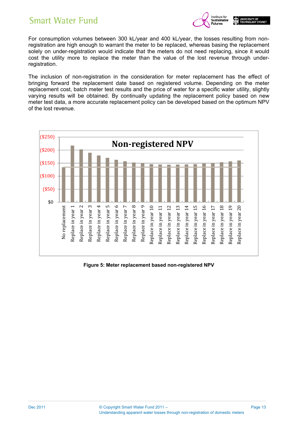

For consumption volumes between 300 kL/year and 400 kL/year, the losses resulting from nonregistration are high enough to warrant the meter to be replaced, whereas basing the replacement solely on under-registration would indicate that the meters do not need replacing, since it would cost the utility more to replace the meter than the value of the lost revenue through underregistration.

The inclusion of non-registration in the consideration for meter replacement has the effect of bringing forward the replacement date based on registered volume. Depending on the meter replacement cost, batch meter test results and the price of water for a specific water utility, slightly varying results will be obtained. By continually updating the replacement policy based on new meter test data, a more accurate replacement policy can be developed based on the optimum NPV of the lost revenue.



**Figure 5: Meter replacement based non-registered NPV**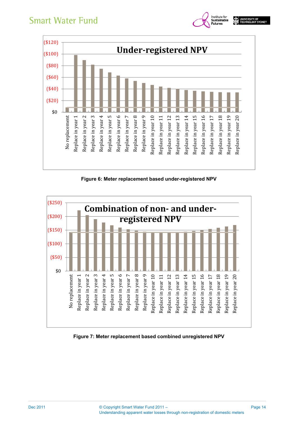

Institute for<br>**Sustainable**<br>Futures

**THE UNIVERSITY OF** 

**Figure 6: Meter replacement based under-registered NPV** 



**Figure 7: Meter replacement based combined unregistered NPV**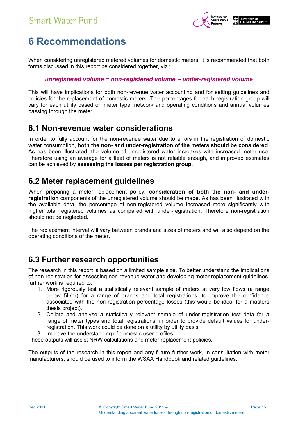

## **6 Recommendations**

When considering unregistered metered volumes for domestic meters, it is recommended that both forms discussed in this report be considered together, viz.:

#### *unregistered volume = non-registered volume + under-registered volume*

This will have implications for both non-revenue water accounting and for setting guidelines and policies for the replacement of domestic meters. The percentages for each registration group will vary for each utility based on meter type, network and operating conditions and annual volumes passing through the meter.

### **6.1 Non-revenue water considerations**

In order to fully account for the non-revenue water due to errors in the registration of domestic water consumption, **both the non- and under-registration of the meters should be considered**. As has been illustrated, the volume of unregistered water increases with increased meter use. Therefore using an average for a fleet of meters is not reliable enough, and improved estimates can be achieved by **assessing the losses per registration group**.

### **6.2 Meter replacement guidelines**

When preparing a meter replacement policy, **consideration of both the non- and underregistration** components of the unregistered volume should be made. As has been illustrated with the available data, the percentage of non-registered volume increased more significantly with higher total registered volumes as compared with under-registration. Therefore non-registration should not be neglected.

The replacement interval will vary between brands and sizes of meters and will also depend on the operating conditions of the meter.

### **6.3 Further research opportunities**

The research in this report is based on a limited sample size. To better understand the implications of non-registration for assessing non-revenue water and developing meter replacement guidelines, further work is required to:

- 1. More rigorously test a statistically relevant sample of meters at very low flows (a range below 5L/hr) for a range of brands and total registrations, to improve the confidence associated with the non-registration percentage losses (this would be ideal for a masters thesis project).
- 2. Collate and analyse a statistically relevant sample of under-registration test data for a range of meter types and total registrations, in order to provide default values for underregistration. This work could be done on a utility by utility basis.
- 3. Improve the understanding of domestic user profiles.

These outputs will assist NRW calculations and meter replacement policies.

The outputs of the research in this report and any future further work, in consultation with meter manufacturers, should be used to inform the WSAA Handbook and related guidelines.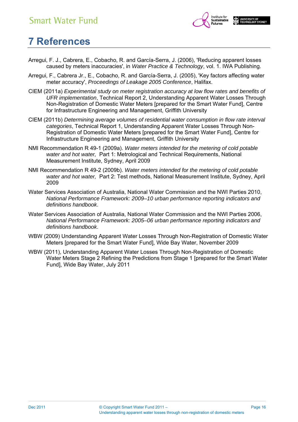

## **7 References**

- Arregui, F. J., Cabrera, E., Cobacho, R. and García-Serra, J. (2006), 'Reducing apparent losses caused by meters inaccuracies', in *Water Practice & Technology*, vol. 1. IWA Publishing.
- Arregui, F., Cabrera Jr., E., Cobacho, R. and García-Serra, J. (2005), 'Key factors affecting water meter accuracy', *Proceedings of Leakage 2005 Conference*, Halifax.
- CIEM (2011a) *Experimental study on meter registration accuracy at low flow rates and benefits of UFR implementation*, Technical Report 2, Understanding Apparent Water Losses Through Non-Registration of Domestic Water Meters [prepared for the Smart Water Fund], Centre for Infrastructure Engineering and Management, Griffith University
- CIEM (2011b) *Determining average volumes of residential water consumption in flow rate interval categories*, Technical Report 1, Understanding Apparent Water Losses Through Non-Registration of Domestic Water Meters [prepared for the Smart Water Fund], Centre for Infrastructure Engineering and Management, Griffith University
- NMI Recommendation R 49-1 (2009a). *Water meters intended for the metering of cold potable water and hot water,* Part 1: Metrological and Technical Requirements, National Measurement Institute, Sydney, April 2009
- NMI Recommendation R 49-2 (2009b). *Water meters intended for the metering of cold potable water and hot water,* Part 2: Test methods, National Measurement Institute, Sydney, April 2009
- Water Services Association of Australia, National Water Commission and the NWI Parties 2010, *National Performance Framework: 2009–10 urban performance reporting indicators and definitions handbook*.
- Water Services Association of Australia, National Water Commission and the NWI Parties 2006, *National Performance Framework: 2005–06 urban performance reporting indicators and definitions handbook*.
- WBW (2009) Understanding Apparent Water Losses Through Non-Registration of Domestic Water Meters [prepared for the Smart Water Fund], Wide Bay Water, November 2009
- WBW (2011), Understanding Apparent Water Losses Through Non-Registration of Domestic Water Meters Stage 2 Refining the Predictions from Stage 1 [prepared for the Smart Water Fund], Wide Bay Water, July 2011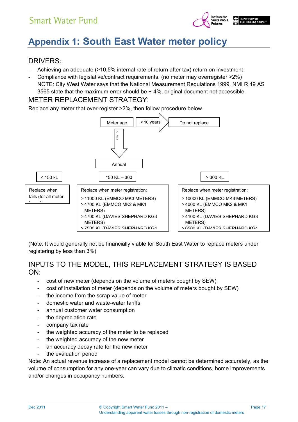

## **Appendix 1: South East Water meter policy**

### DRIVERS:

- ‐ Achieving an adequate (>10,5% internal rate of return after tax) return on investment
- ‐ Compliance with legislative/contract requirements. (no meter may overregister >2%) NOTE: City West Water says that the National Measurement Regulations 1999, NMI R 49 AS 3565 state that the maximum error should be +-4%, original document not accessible.

### METER REPLACEMENT STRATEGY:

Replace any meter that over-register >2%, then follow procedure below.



(Note: It would generally not be financially viable for South East Water to replace meters under registering by less than 3%)

### INPUTS TO THE MODEL, THIS REPLACEMENT STRATEGY IS BASED ON:

- cost of new meter (depends on the volume of meters bought by SEW)
- cost of installation of meter (depends on the volume of meters bought by SEW)
- the income from the scrap value of meter
- domestic water and waste-water tariffs
- annual customer water consumption
- the depreciation rate
- company tax rate
- the weighted accuracy of the meter to be replaced
- the weighted accuracy of the new meter
- an accuracy decay rate for the new meter
- the evaluation period

Note: An actual revenue increase of a replacement model cannot be determined accurately, as the volume of consumption for any one-year can vary due to climatic conditions, home improvements and/or changes in occupancy numbers.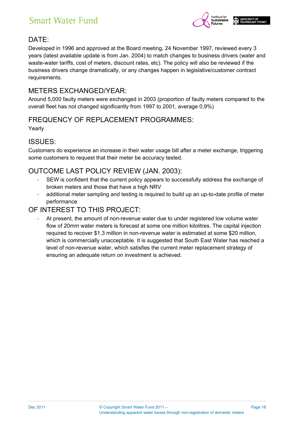

### DATE:

Developed in 1996 and approved at the Board meeting, 24 November 1997, reviewed every 3 years (latest available update is from Jan. 2004) to match changes to business drivers (water and waste-water tariffs, cost of meters, discount rates, etc). The policy will also be reviewed if the business drivers change dramatically, or any changes happen in legislative/customer contract requirements.

### METERS EXCHANGED/YEAR:

Around 5,000 faulty meters were exchanged in 2003 (proportion of faulty meters compared to the overall fleet has not changed significantly from 1997 to 2001, average 0,9%)

### FREQUENCY OF REPLACEMENT PROGRAMMES:

Yearly

### ISSUES:

Customers do experience an increase in their water usage bill after a meter exchange, triggering some customers to request that their meter be accuracy tested.

### OUTCOME LAST POLICY REVIEW (JAN. 2003):

- SEW is confident that the current policy appears to successfully address the exchange of broken meters and those that have a high NRV
- ‐ additional meter sampling and testing is required to build up an up-to-date profile of meter performance

### OF INTEREST TO THIS PROJECT:

‐ At present, the amount of non-revenue water due to under registered low volume water flow of 20mm water meters is forecast at some one million kilolitres. The capital injection required to recover \$1.3 million in non-revenue water is estimated at some \$20 million, which is commercially unacceptable. It is suggested that South East Water has reached a level of non-revenue water, which satisfies the current meter replacement strategy of ensuring an adequate return on investment is achieved.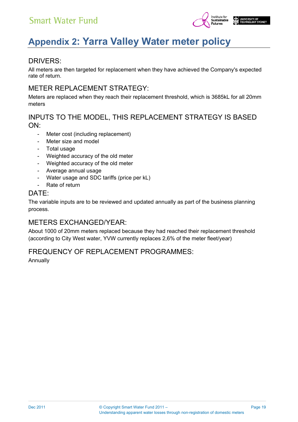

## **Appendix 2: Yarra Valley Water meter policy**

### DRIVERS:

All meters are then targeted for replacement when they have achieved the Company's expected rate of return.

### METER REPLACEMENT STRATEGY:

Meters are replaced when they reach their replacement threshold, which is 3685kL for all 20mm meters

### INPUTS TO THE MODEL, THIS REPLACEMENT STRATEGY IS BASED  $ON$

- Meter cost (including replacement)
- Meter size and model
- Total usage
- Weighted accuracy of the old meter
- Weighted accuracy of the old meter
- Average annual usage
- Water usage and SDC tariffs (price per kL)
- Rate of return

#### DATE:

The variable inputs are to be reviewed and updated annually as part of the business planning process.

### METERS EXCHANGED/YEAR:

About 1000 of 20mm meters replaced because they had reached their replacement threshold (according to City West water, YVW currently replaces 2,6% of the meter fleet/year)

### FREQUENCY OF REPLACEMENT PROGRAMMES:

Annually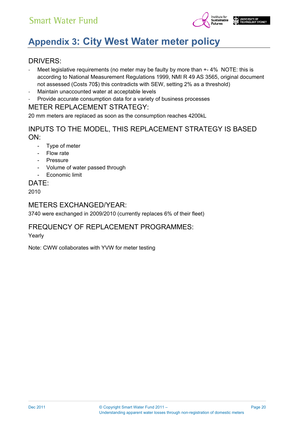

## **Appendix 3: City West Water meter policy**

### DRIVERS:

- Meet legislative requirements (no meter may be faulty by more than  $+-4\%$  NOTE: this is according to National Measurement Regulations 1999, NMI R 49 AS 3565, original document not assessed (Costs 70\$) this contradicts with SEW, setting 2% as a threshold)
- Maintain unaccounted water at acceptable levels
- ‐ Provide accurate consumption data for a variety of business processes

### METER REPLACEMENT STRATEGY:

20 mm meters are replaced as soon as the consumption reaches 4200kL

### INPUTS TO THE MODEL, THIS REPLACEMENT STRATEGY IS BASED ON:

- Type of meter
- Flow rate
- **Pressure**
- Volume of water passed through
- Economic limit

#### DATE:

2010

### METERS EXCHANGED/YEAR:

3740 were exchanged in 2009/2010 (currently replaces 6% of their fleet)

### FREQUENCY OF REPLACEMENT PROGRAMMES:

Yearly

Note: CWW collaborates with YVW for meter testing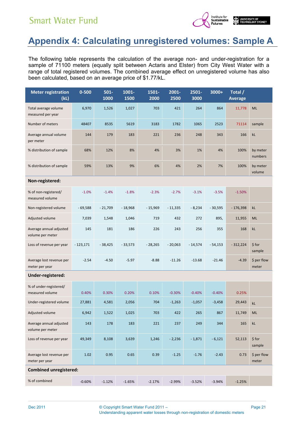

## **Appendix 4: Calculating unregistered volumes: Sample A**

The following table represents the calculation of the average non- and under-registration for a sample of 71100 meters (equally split between Actaris and Elster) from City West Water with a range of total registered volumes. The combined average effect on unregistered volume has also been calculated, based on an average price of \$1.77/kL.

| <b>Meter registration</b><br>(kL)           | $0 - 500$  | $501 -$<br>1000 | 1001-<br>1500 | 1501-<br>2000 | 2001-<br>2500 | 2501-<br>3000 | 3000+     | Total /<br><b>Average</b> |                        |
|---------------------------------------------|------------|-----------------|---------------|---------------|---------------|---------------|-----------|---------------------------|------------------------|
| Total average volume<br>measured per year   | 6,970      | 1,526           | 1,027         | 703           | 421           | 264           | 864       | 11,778                    | <b>ML</b>              |
| Number of meters                            | 48407      | 8535            | 5619          | 3183          | 1782          | 1065          | 2523      | 71114                     | sample                 |
| Average annual volume<br>per meter          | 144        | 179             | 183           | 221           | 236           | 248           | 343       | 166                       | kL                     |
| % distribution of sample                    | 68%        | 12%             | 8%            | 4%            | 3%            | 1%            | 4%        | 100%                      | by meter<br>numbers    |
| % distribution of sample                    | 59%        | 13%             | 9%            | 6%            | 4%            | 2%            | 7%        | 100%                      | by meter<br>volume     |
| Non-registered:                             |            |                 |               |               |               |               |           |                           |                        |
| % of non-registered/<br>measured volume     | $-1.0%$    | $-1.4%$         | $-1.8%$       | $-2.3%$       | $-2.7%$       | $-3.1%$       | $-3.5%$   | $-1.50%$                  |                        |
| Non-registered volume                       | $-69,588$  | $-21,709$       | $-18,968$     | $-15,969$     | $-11,335$     | $-8,234$      | $-30,595$ | $-176,398$                | kL                     |
| Adjusted volume                             | 7,039      | 1,548           | 1,046         | 719           | 432           | 272           | 895,      | 11,955                    | <b>ML</b>              |
| Average annual adjusted<br>volume per meter | 145        | 181             | 186           | 226           | 243           | 256           | 355       | 168                       | kL                     |
| Loss of revenue per year                    | $-123,171$ | $-38,425$       | $-33,573$     | $-28,265$     | $-20,063$     | $-14,574$     | $-54,153$ | $-312,224$                | $$$ for<br>sample      |
| Average lost revenue per<br>meter per year  | $-2.54$    | $-4.50$         | $-5.97$       | $-8.88$       | $-11.26$      | $-13.68$      | $-21.46$  | $-4.39$                   | \$ per flow<br>meter   |
| Under-registered:                           |            |                 |               |               |               |               |           |                           |                        |
| % of under-registered/<br>measured volume   | 0.40%      | 0.30%           | 0.20%         | 0.10%         | $-0.30%$      | $-0.40%$      | $-0.40%$  | 0.25%                     |                        |
| Under-registered volume                     | 27,881     | 4,581           | 2,056         | 704           | $-1,263$      | $-1,057$      | $-3,458$  | 29,443                    | kL                     |
| Adjusted volume                             | 6,942      | 1,522           | 1,025         | 703           | 422           | 265           | 867       | 11,749                    | <b>ML</b>              |
| Average annual adjusted<br>volume per meter | 143        | 178             | 183           | 221           | 237           | 249           | 344       | 165                       | $\mathsf{k}\mathsf{L}$ |
| Loss of revenue per year                    | 49,349     | 8,108           | 3,639         | 1,246         | $-2,236$      | $-1,871$      | $-6,121$  | 52,113                    | \$ for<br>sample       |
| Average lost revenue per<br>meter per year  | 1.02       | 0.95            | 0.65          | 0.39          | $-1.25$       | $-1.76$       | $-2.43$   | 0.73                      | \$ per flow<br>meter   |
| <b>Combined unregistered:</b>               |            |                 |               |               |               |               |           |                           |                        |
| % of combined                               | $-0.60%$   | $-1.12%$        | $-1.65%$      | $-2.17%$      | $-2.99%$      | $-3.52%$      | $-3.94%$  | $-1.25%$                  |                        |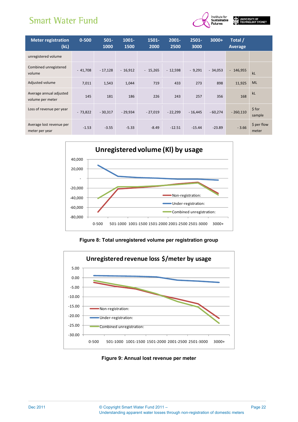

| <b>Meter registration</b><br>(kL)           | $0 - 500$ | $501 -$<br>1000 | $1001 -$<br>1500 | 1501-<br>2000 | $2001 -$<br>2500 | $2501 -$<br>3000 | $3000+$   | Total /<br><b>Average</b> |                      |
|---------------------------------------------|-----------|-----------------|------------------|---------------|------------------|------------------|-----------|---------------------------|----------------------|
| unregistered volume                         |           |                 |                  |               |                  |                  |           |                           |                      |
| Combined unregistered<br>volume             | $-41,708$ | $-17,128$       | $-16,912$        | $-15,265$     | $-12,598$        | $-9,291$         | $-34,053$ | $-146,955$                | kL                   |
| Adjusted volume                             | 7,011     | 1,543           | 1,044            | 719           | 433              | 273              | 898       | 11,925                    | <b>ML</b>            |
| Average annual adjusted<br>volume per meter | 145       | 181             | 186              | 226           | 243              | 257              | 356       | 168                       | kL                   |
| Loss of revenue per year                    | $-73.822$ | $-30.317$       | $-29.934$        | $-27,019$     | $-22.299$        | $-16.445$        | $-60.274$ | $-260.110$                | $$$ for<br>sample    |
| Average lost revenue per<br>meter per year  | $-1.53$   | $-3.55$         | $-5.33$          | $-8.49$       | $-12.51$         | $-15.44$         | $-23.89$  | $-3.66$                   | \$ per flow<br>meter |



**Figure 8: Total unregistered volume per registration group** 



#### **Figure 9: Annual lost revenue per meter**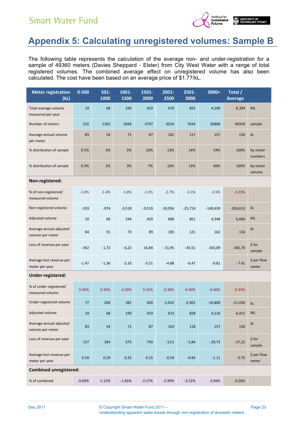

## **Appendix 5: Calculating unregistered volumes: Sample B**

The following table represents the calculation of the average non- and under-registration for a sample of 49360 meters (Davies Sheppard - Elster) from City West Water with a range of total registered volumes. The combined average effect on unregistered volume has also been calculated. The cost have been based on an average price of \$1.77/kL.

| <b>Meter registration</b><br>(kL)           | $0 - 500$ | $501 -$<br>1000 | 1001-<br>1500 | 1501-<br>2000 | 2001-<br>2500 | $2501 -$<br>3000 | 3000+      | Total /<br><b>Average</b> |                        |
|---------------------------------------------|-----------|-----------------|---------------|---------------|---------------|------------------|------------|---------------------------|------------------------|
| Total average volume<br>measured per year   | 19        | 68              | 190           | 419           | 670           | 825              | 4,200      | 6,394                     | ML                     |
| Number of meters                            | 232       | 1265            | 2669          | 4797          | 6554          | 7034             | 26808      | 49359                     | sample                 |
| Average annual volume<br>per meter          | 83        | 54              | 71            | 87            | 102           | 117              | 157        | 130                       | kL                     |
| % distribution of sample                    | 0.5%      | 3%              | 5%            | 10%           | 13%           | 14%              | 54%        | 100%                      | by meter<br>numbers    |
| % distribution of sample                    | 0.3%      | 1%              | 3%            | 7%            | 10%           | 13%              | 66%        | 100%                      | by meter<br>volume     |
| Non-registered:                             |           |                 |               |               |               |                  |            |                           |                        |
| % of non-registered/<br>measured volume     | $-1.0%$   | $-1.4%$         | $-1.8%$       | $-2.3%$       | $-2.7%$       | $-3.1%$          | $-3.5%$    | $-3.23%$                  |                        |
| Non-registered volume                       | $-193$    | $-974$          | $-3,518$      | $-9,519$      | $-18,056$     | $-25,714$        | $-148,639$ | $-206,613$                | kL                     |
| Adjusted volume                             | 19        | 69              | 194           | 429           | 688           | 851              | 4,348      | 6,600                     | <b>ML</b>              |
| Average annual adjusted<br>volume per meter | 84        | 55              | 73            | 89            | 105           | 121              | 162        | 134                       | kL                     |
| Loss of revenue per year                    | $-342$    | $-1,72$         | $-6,22$       | $-16,84$      | $-31,95$      | $-45,51$         | $-263,09$  | $-365,70$                 | $$$ for<br>sample      |
| Average lost revenue per<br>meter per year  | $-1.47$   | $-1.36$         | $-2.33$       | $-3.51$       | $-4.88$       | $-6.47$          | $-9.81$    | $-7.41$                   | \$ per flow<br>meter   |
| Under-registered:                           |           |                 |               |               |               |                  |            |                           |                        |
| % of under-registered/<br>measured volume   | 0.40%     | 0.30%           | 0.20%         | 0.10%         | $-0.30%$      | $-0.40%$         | $-0.40%$   | $-0.33%$                  |                        |
| Under-registered volume                     | 77        | 206             | 381           | 420           | $-2,012$      | $-3,301$         | $-16,800$  | $-21,030$                 | kL                     |
| Adjusted volume                             | 19        | 68              | 190           | 419           | 672           | 828              | 4,216      | 6,415                     | <b>ML</b>              |
| Average annual adjusted<br>volume per meter | 83        | 54              | 71            | 87            | 103           | 118              | 157        | 130                       | $\mathsf{k}\mathsf{L}$ |
| Loss of revenue per year                    | 137       | 364             | 675           | 743           | $-3,51$       | $-5,84$          | $-29,73$   | $-37,22$                  | \$ for<br>sample       |
| Average lost revenue per<br>meter per year  | 0.59      | 0.29            | 0.25          | $0.15\,$      | $-0.54$       | $-0.83$          | $-1.11$    | $-0.75$                   | \$ per flow<br>meter   |
| <b>Combined unregistered:</b>               |           |                 |               |               |               |                  |            |                           |                        |
| % of combined                               | $-0.60%$  | $-1.12%$        | $-1.65%$      | $-2.17%$      | $-2.99%$      | $-3.52%$         | $-3.94%$   | $-3.56%$                  |                        |